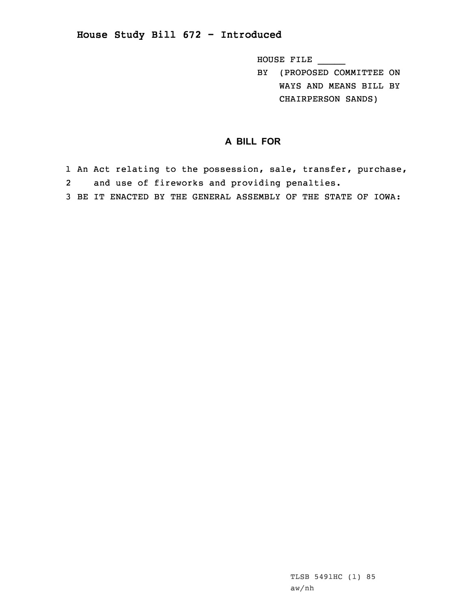## **House Study Bill 672 - Introduced**

HOUSE FILE \_\_\_\_\_

BY (PROPOSED COMMITTEE ON WAYS AND MEANS BILL BY CHAIRPERSON SANDS)

## **A BILL FOR**

1 An Act relating to the possession, sale, transfer, purchase, 2and use of fireworks and providing penalties.

3 BE IT ENACTED BY THE GENERAL ASSEMBLY OF THE STATE OF IOWA: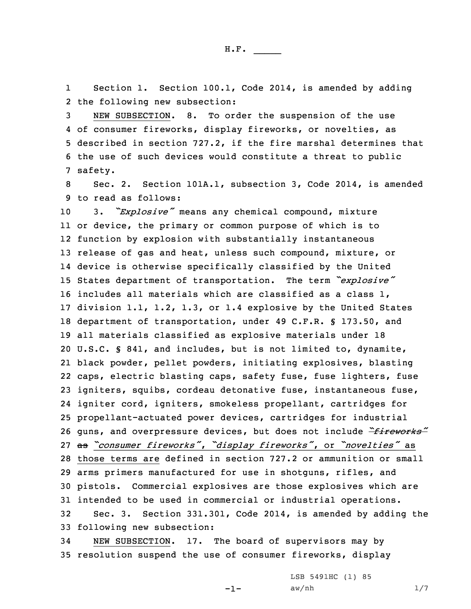1Section 1. Section 100.1, Code 2014, is amended by adding 2 the following new subsection:

 NEW SUBSECTION. 8. To order the suspension of the use of consumer fireworks, display fireworks, or novelties, as described in section 727.2, if the fire marshal determines that the use of such devices would constitute <sup>a</sup> threat to public 7 safety.

8 Sec. 2. Section 101A.1, subsection 3, Code 2014, is amended 9 to read as follows:

 3. *"Explosive"* means any chemical compound, mixture or device, the primary or common purpose of which is to function by explosion with substantially instantaneous release of gas and heat, unless such compound, mixture, or device is otherwise specifically classified by the United States department of transportation. The term *"explosive"* includes all materials which are classified as <sup>a</sup> class 1, division 1.1, 1.2, 1.3, or 1.4 explosive by the United States department of transportation, under 49 C.F.R. § 173.50, and all materials classified as explosive materials under 18 U.S.C. § 841, and includes, but is not limited to, dynamite, black powder, pellet powders, initiating explosives, blasting caps, electric blasting caps, safety fuse, fuse lighters, fuse igniters, squibs, cordeau detonative fuse, instantaneous fuse, igniter cord, igniters, smokeless propellant, cartridges for propellant-actuated power devices, cartridges for industrial guns, and overpressure devices, but does not include *"fireworks"* as *"consumer fireworks"*, *"display fireworks"*, or *"novelties"* as those terms are defined in section 727.2 or ammunition or small arms primers manufactured for use in shotguns, rifles, and pistols. Commercial explosives are those explosives which are intended to be used in commercial or industrial operations. Sec. 3. Section 331.301, Code 2014, is amended by adding the following new subsection:

34 NEW SUBSECTION. 17. The board of supervisors may by 35 resolution suspend the use of consumer fireworks, display

-1-

LSB 5491HC (1) 85  $aw/nh$  1/7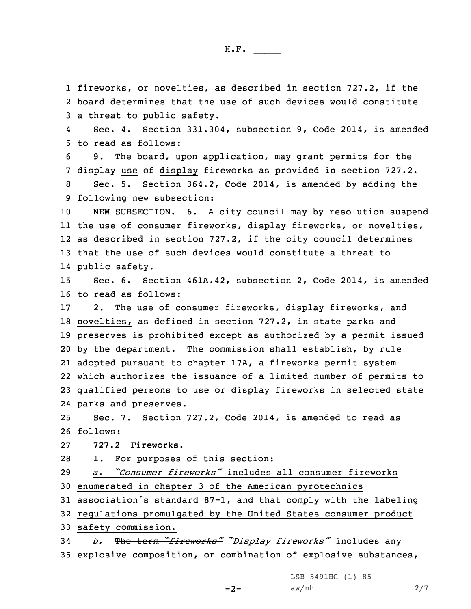H.F. \_\_\_\_\_

1 fireworks, or novelties, as described in section 727.2, if the 2 board determines that the use of such devices would constitute 3 <sup>a</sup> threat to public safety.

4 Sec. 4. Section 331.304, subsection 9, Code 2014, is amended 5 to read as follows:

6 9. The board, upon application, may grant permits for the 7 display use of display fireworks as provided in section 727.2.

8 Sec. 5. Section 364.2, Code 2014, is amended by adding the 9 following new subsection:

 NEW SUBSECTION. 6. <sup>A</sup> city council may by resolution suspend the use of consumer fireworks, display fireworks, or novelties, as described in section 727.2, if the city council determines that the use of such devices would constitute <sup>a</sup> threat to public safety.

15 Sec. 6. Section 461A.42, subsection 2, Code 2014, is amended 16 to read as follows:

 2. The use of consumer fireworks, display fireworks, and novelties, as defined in section 727.2, in state parks and preserves is prohibited except as authorized by <sup>a</sup> permit issued by the department. The commission shall establish, by rule adopted pursuant to chapter 17A, <sup>a</sup> fireworks permit system which authorizes the issuance of <sup>a</sup> limited number of permits to qualified persons to use or display fireworks in selected state parks and preserves.

25 Sec. 7. Section 727.2, Code 2014, is amended to read as 26 follows:

27 **727.2 Fireworks.**

28 1. For purposes of this section:

29 *a. "Consumer fireworks"* includes all consumer fireworks 30 enumerated in chapter 3 of the American pyrotechnics

<sup>31</sup> association's standard 87-1, and that comply with the labeling

32 regulations promulgated by the United States consumer product

33 safety commission.

<sup>34</sup> *b.* The term *"fireworks" "Display fireworks"* includes any 35 explosive composition, or combination of explosive substances,

LSB 5491HC (1) 85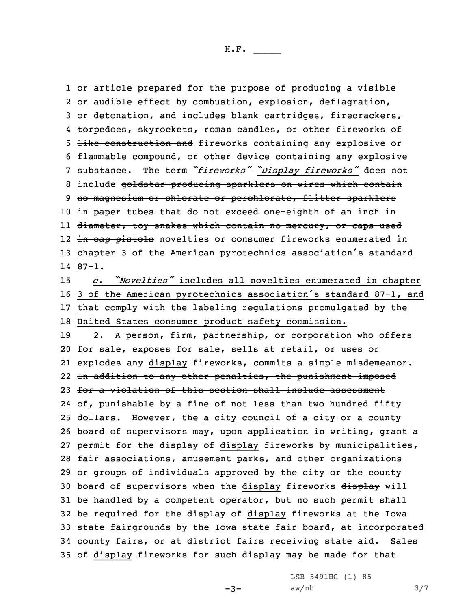or article prepared for the purpose of producing <sup>a</sup> visible or audible effect by combustion, explosion, deflagration, 3 or detonation, and includes blank cartridges, firecrackers, torpedoes, skyrockets, roman candles, or other fireworks of like construction and fireworks containing any explosive or flammable compound, or other device containing any explosive substance. The term *"fireworks" "Display fireworks"* does not 8 include goldstar-producing sparklers on wires which contain 9 no magnesium or chlorate or perchlorate, flitter sparklers 10 in paper tubes that do not exceed one-eighth of an inch in ll <del>diameter, toy snakes which contain no mercury, or caps used</del> 12 <del>in cap pistols</del> novelties or consumer fireworks enumerated in chapter <sup>3</sup> of the American pyrotechnics association's standard 14 87-1. *c. "Novelties"* includes all novelties enumerated in chapter <sup>3</sup> of the American pyrotechnics association's standard 87-1, and that comply with the labeling regulations promulgated by the United States consumer product safety commission. 2. <sup>A</sup> person, firm, partnership, or corporation who offers for sale, exposes for sale, sells at retail, or uses or explodes any display fireworks, commits <sup>a</sup> simple misdemeanor. 22 <del>In addition to any other penalties, the punishment imposed</del> 23 for a violation of this section shall include assessment  $\Theta$ £, punishable by a fine of not less than two hundred fifty 25 dollars. However, the a city council of a city or a county board of supervisors may, upon application in writing, grant <sup>a</sup> permit for the display of display fireworks by municipalities, fair associations, amusement parks, and other organizations or groups of individuals approved by the city or the county 30 board of supervisors when the display fireworks display will be handled by <sup>a</sup> competent operator, but no such permit shall be required for the display of display fireworks at the Iowa state fairgrounds by the Iowa state fair board, at incorporated county fairs, or at district fairs receiving state aid. Sales of display fireworks for such display may be made for that

 $-3-$ 

LSB 5491HC (1) 85  $aw/nh$  3/7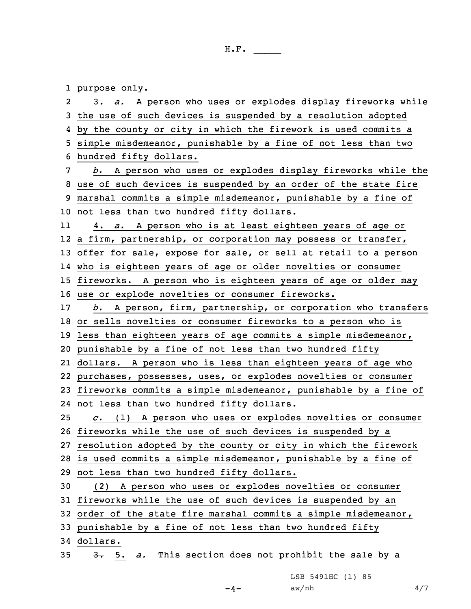1 purpose only.

| 2               | 3. a. A person who uses or explodes display fireworks while       |
|-----------------|-------------------------------------------------------------------|
| 3               | the use of such devices is suspended by a resolution adopted      |
| 4               | by the county or city in which the firework is used commits a     |
| 5               | simple misdemeanor, punishable by a fine of not less than two     |
| 6               | hundred fifty dollars.                                            |
| 7               | b. A person who uses or explodes display fireworks while the      |
| 8               | use of such devices is suspended by an order of the state fire    |
| 9               | marshal commits a simple misdemeanor, punishable by a fine of     |
|                 | 10 not less than two hundred fifty dollars.                       |
| 11              | a. A person who is at least eighteen years of age or<br>4.        |
| 12 <sup>°</sup> | a firm, partnership, or corporation may possess or transfer,      |
|                 | 13 offer for sale, expose for sale, or sell at retail to a person |
|                 | 14 who is eighteen years of age or older novelties or consumer    |
| 15              | fireworks. A person who is eighteen years of age or older may     |
|                 | 16 use or explode novelties or consumer fireworks.                |
| 17              | b. A person, firm, partnership, or corporation who transfers      |
|                 | 18 or sells novelties or consumer fireworks to a person who is    |
| 19              | less than eighteen years of age commits a simple misdemeanor,     |
| 20              | punishable by a fine of not less than two hundred fifty           |
| 21              | dollars. A person who is less than eighteen years of age who      |
| 22              | purchases, possesses, uses, or explodes novelties or consumer     |
| 23              | fireworks commits a simple misdemeanor, punishable by a fine of   |
| 24              | not less than two hundred fifty dollars.                          |
| 25              | $c.$ (1) A person who uses or explodes novelties or consumer      |
|                 | 26 fireworks while the use of such devices is suspended by a      |
|                 | 27 resolution adopted by the county or city in which the firework |
|                 | 28 is used commits a simple misdemeanor, punishable by a fine of  |
|                 | 29 not less than two hundred fifty dollars.                       |
| 30              | (2) A person who uses or explodes novelties or consumer           |
|                 | 31 fireworks while the use of such devices is suspended by an     |
|                 | 32 order of the state fire marshal commits a simple misdemeanor,  |
| 33              | punishable by a fine of not less than two hundred fifty           |
|                 | 34 dollars.                                                       |
| 35              | This section does not prohibit the sale by a<br>$3 - 5$ .<br>a.   |

LSB 5491HC (1) 85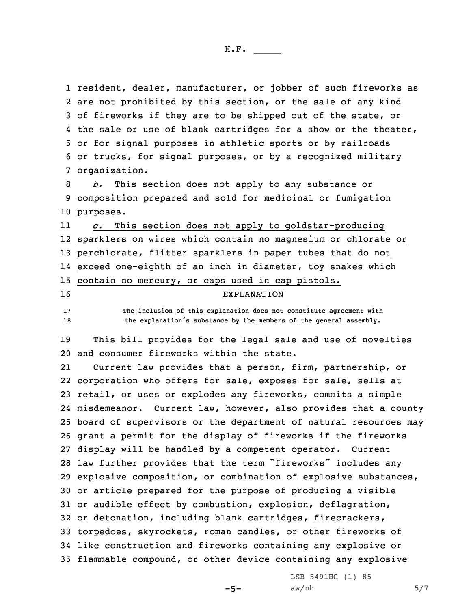resident, dealer, manufacturer, or jobber of such fireworks as are not prohibited by this section, or the sale of any kind of fireworks if they are to be shipped out of the state, or the sale or use of blank cartridges for <sup>a</sup> show or the theater, or for signal purposes in athletic sports or by railroads or trucks, for signal purposes, or by <sup>a</sup> recognized military organization.

8 *b.* This section does not apply to any substance or 9 composition prepared and sold for medicinal or fumigation 10 purposes.

11 *c.* This section does not apply to goldstar-producing 12 sparklers on wires which contain no magnesium or chlorate or 13 perchlorate, flitter sparklers in paper tubes that do not 14 exceed one-eighth of an inch in diameter, toy snakes which 15 contain no mercury, or caps used in cap pistols. 16 EXPLANATION

17 **The inclusion of this explanation does not constitute agreement with** <sup>18</sup> **the explanation's substance by the members of the general assembly.**

19 This bill provides for the legal sale and use of novelties 20 and consumer fireworks within the state.

21 Current law provides that <sup>a</sup> person, firm, partnership, or corporation who offers for sale, exposes for sale, sells at retail, or uses or explodes any fireworks, commits <sup>a</sup> simple misdemeanor. Current law, however, also provides that <sup>a</sup> county board of supervisors or the department of natural resources may grant <sup>a</sup> permit for the display of fireworks if the fireworks display will be handled by <sup>a</sup> competent operator. Current law further provides that the term "fireworks" includes any explosive composition, or combination of explosive substances, or article prepared for the purpose of producing <sup>a</sup> visible or audible effect by combustion, explosion, deflagration, or detonation, including blank cartridges, firecrackers, torpedoes, skyrockets, roman candles, or other fireworks of like construction and fireworks containing any explosive or flammable compound, or other device containing any explosive

 $-5-$ 

LSB 5491HC (1) 85  $aw/nh$  5/7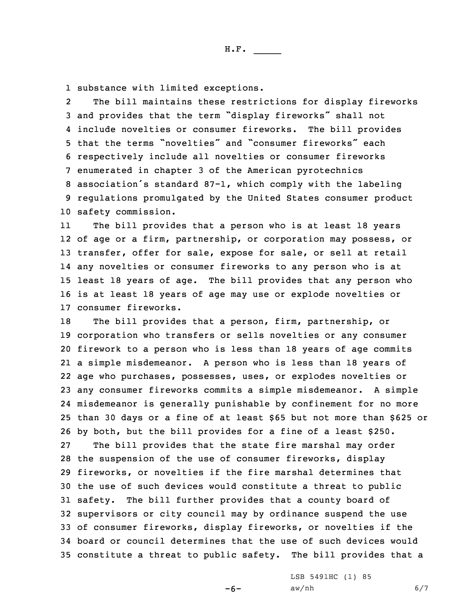H.F. \_\_\_\_\_

1 substance with limited exceptions.

 $2<sup>1</sup>$  The bill maintains these restrictions for display fireworks and provides that the term "display fireworks" shall not include novelties or consumer fireworks. The bill provides that the terms "novelties" and "consumer fireworks" each respectively include all novelties or consumer fireworks enumerated in chapter 3 of the American pyrotechnics association's standard 87-1, which comply with the labeling regulations promulgated by the United States consumer product safety commission.

11The bill provides that a person who is at least 18 years of age or <sup>a</sup> firm, partnership, or corporation may possess, or transfer, offer for sale, expose for sale, or sell at retail any novelties or consumer fireworks to any person who is at least 18 years of age. The bill provides that any person who is at least 18 years of age may use or explode novelties or consumer fireworks.

 The bill provides that <sup>a</sup> person, firm, partnership, or corporation who transfers or sells novelties or any consumer firework to <sup>a</sup> person who is less than 18 years of age commits <sup>a</sup> simple misdemeanor. <sup>A</sup> person who is less than 18 years of age who purchases, possesses, uses, or explodes novelties or any consumer fireworks commits <sup>a</sup> simple misdemeanor. <sup>A</sup> simple misdemeanor is generally punishable by confinement for no more than 30 days or <sup>a</sup> fine of at least \$65 but not more than \$625 or by both, but the bill provides for <sup>a</sup> fine of <sup>a</sup> least \$250. The bill provides that the state fire marshal may order the suspension of the use of consumer fireworks, display fireworks, or novelties if the fire marshal determines that the use of such devices would constitute <sup>a</sup> threat to public safety. The bill further provides that <sup>a</sup> county board of supervisors or city council may by ordinance suspend the use of consumer fireworks, display fireworks, or novelties if the board or council determines that the use of such devices would constitute <sup>a</sup> threat to public safety. The bill provides that <sup>a</sup>

-6-

LSB 5491HC (1) 85  $aw/nh$  6/7